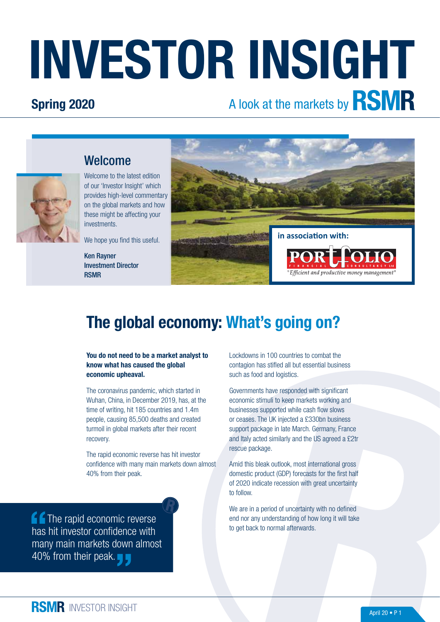# INVESTOR INSIGHT

### Spring 2020

# A look at the markets by **RSMR**



Welcome to the latest edition of our 'Investor Insight' which provides high-level commentary on the global markets and how these might be affecting your investments.

We hope you find this useful.

Ken Rayner Investment Director RSMR



## The global economy: What's going on?

You do not need to be a market analyst to know what has caused the global economic upheaval.

The coronavirus pandemic, which started in Wuhan, China, in December 2019, has, at the time of writing, hit 185 countries and 1.4m people, causing 85,500 deaths and created turmoil in global markets after their recent recovery.

The rapid economic reverse has hit investor confidence with many main markets down almost 40% from their peak.

**f** The rapid economic reverse has hit investor confidence with many main markets down almost 40% from their peak.

Lockdowns in 100 countries to combat the contagion has stifled all but essential business such as food and logistics.

Governments have responded with significant economic stimuli to keep markets working and businesses supported while cash flow slows or ceases. The UK injected a £330bn business support package in late March. Germany, France and Italy acted similarly and the US agreed a £2tr rescue package.

Amid this bleak outlook, most international gross domestic product (GDP) forecasts for the first half of 2020 indicate recession with great uncertainty to follow.

We are in a period of uncertainty with no defined end nor any understanding of how long it will take to get back to normal afterwards.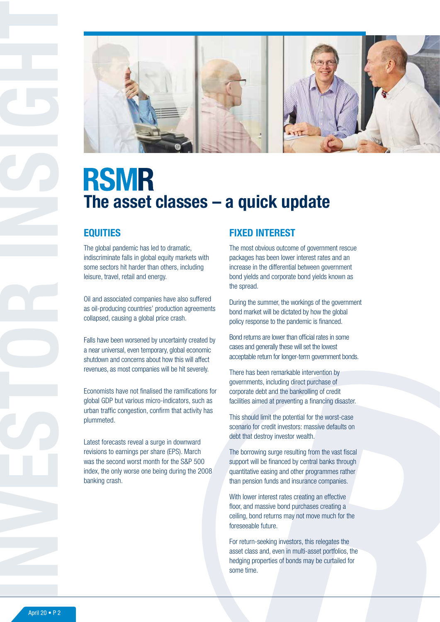

# **RSMR** The asset classes – a quick update

#### **EQUITIES**

The global pandemic has led to dramatic, indiscriminate falls in global equity markets with some sectors hit harder than others, including leisure, travel, retail and energy.

Oil and associated companies have also suffered as oil-producing countries' production agreements collapsed, causing a global price crash.

Falls have been worsened by uncertainty created by a near universal, even temporary, global economic shutdown and concerns about how this will affect revenues, as most companies will be hit severely.

Economists have not finalised the ramifications for global GDP but various micro-indicators, such as urban traffic congestion, confirm that activity has plummeted.

Latest forecasts reveal a surge in downward revisions to earnings per share (EPS). March was the second worst month for the S&P 500 index, the only worse one being during the 2008 banking crash.

#### FIXED INTEREST

The most obvious outcome of government rescue packages has been lower interest rates and an increase in the differential between government bond yields and corporate bond yields known as the spread.

During the summer, the workings of the government bond market will be dictated by how the global policy response to the pandemic is financed.

Bond returns are lower than official rates in some cases and generally these will set the lowest acceptable return for longer-term government bonds.

There has been remarkable intervention by governments, including direct purchase of corporate debt and the bankrolling of credit facilities aimed at preventing a financing disaster.

This should limit the potential for the worst-case scenario for credit investors: massive defaults on debt that destroy investor wealth.

The borrowing surge resulting from the vast fiscal support will be financed by central banks through quantitative easing and other programmes rather than pension funds and insurance companies.

With lower interest rates creating an effective floor, and massive bond purchases creating a ceiling, bond returns may not move much for the foreseeable future.

For return-seeking investors, this relegates the asset class and, even in multi-asset portfolios, the hedging properties of bonds may be curtailed for some time.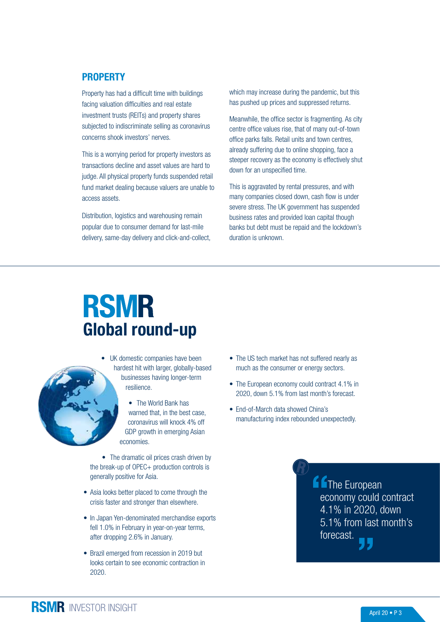#### **PROPERTY**

Property has had a difficult time with buildings facing valuation difficulties and real estate investment trusts (REITs) and property shares subjected to indiscriminate selling as coronavirus concerns shook investors' nerves.

This is a worrying period for property investors as transactions decline and asset values are hard to judge. All physical property funds suspended retail fund market dealing because valuers are unable to access assets.

Distribution, logistics and warehousing remain popular due to consumer demand for last-mile delivery, same-day delivery and click-and-collect, which may increase during the pandemic, but this has pushed up prices and suppressed returns.

Meanwhile, the office sector is fragmenting. As city centre office values rise, that of many out-of-town office parks falls. Retail units and town centres, already suffering due to online shopping, face a steeper recovery as the economy is effectively shut down for an unspecified time.

This is aggravated by rental pressures, and with many companies closed down, cash flow is under severe stress. The UK government has suspended business rates and provided loan capital though banks but debt must be repaid and the lockdown's duration is unknown.

# **RSMR** Global round-up



• UK domestic companies have been hardest hit with larger, globally-based businesses having longer-term resilience.

> • The World Bank has warned that, in the best case, coronavirus will knock 4% off GDP growth in emerging Asian economies.

• The dramatic oil prices crash driven by the break-up of OPEC+ production controls is generally positive for Asia.

- Asia looks better placed to come through the crisis faster and stronger than elsewhere.
- In Japan Yen-denominated merchandise exports fell 1.0% in February in year-on-year terms, after dropping 2.6% in January.
- Brazil emerged from recession in 2019 but looks certain to see economic contraction in 2020.
- The US tech market has not suffered nearly as much as the consumer or energy sectors.
- The European economy could contract 4.1% in 2020, down 5.1% from last month's forecast.
- End-of-March data showed China's manufacturing index rebounded unexpectedly.

**A** The European economy could contract 4.1% in 2020, down 5.1% from last month's forecast.